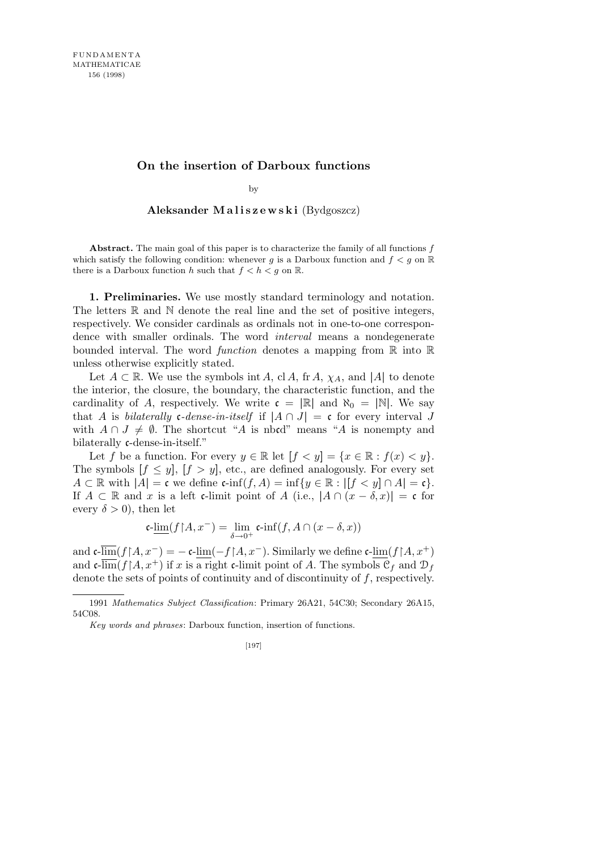## **On the insertion of Darboux functions**

by

Aleksander Maliszewski (Bydgoszcz)

**Abstract.** The main goal of this paper is to characterize the family of all functions *f* which satisfy the following condition: whenever  $g$  is a Darboux function and  $f < g$  on  $\mathbb{R}$ there is a Darboux function *h* such that  $f < h < g$  on R.

**1. Preliminaries.** We use mostly standard terminology and notation. The letters  $\mathbb R$  and  $\mathbb N$  denote the real line and the set of positive integers, respectively. We consider cardinals as ordinals not in one-to-one correspondence with smaller ordinals. The word *interval* means a nondegenerate bounded interval. The word *function* denotes a mapping from R into R unless otherwise explicitly stated.

Let  $A \subset \mathbb{R}$ . We use the symbols int *A*, cl *A*, fr *A*,  $\chi_A$ , and |*A*| to denote the interior, the closure, the boundary, the characteristic function, and the cardinality of *A*, respectively. We write  $\mathfrak{c} = |\mathbb{R}|$  and  $\aleph_0 = |\mathbb{N}|$ . We say that *A* is *bilaterally* c-*dense-in-itself* if  $|A \cap J| = c$  for every interval *J* with  $A \cap J \neq \emptyset$ . The shortcut "*A* is noted" means "*A* is nonempty and bilaterally c-dense-in-itself."

Let *f* be a function. For every  $y \in \mathbb{R}$  let  $[f < y] = \{x \in \mathbb{R} : f(x) < y\}.$ The symbols  $[f \leq y]$ ,  $[f > y]$ , etc., are defined analogously. For every set  $A \subset \mathbb{R}$  with  $|A| = \mathfrak{c}$  we define  $\mathfrak{c}\text{-}\inf(f, A) = \inf\{y \in \mathbb{R} : |[f < y] \cap A| = \mathfrak{c}\}.$ If  $A \subset \mathbb{R}$  and *x* is a left c-limit point of  $A$  (i.e.,  $|A \cap (x - \delta, x)| = c$  for every  $\delta > 0$ , then let

$$
\mathfrak{c}\text{-}\underline{\lim}(f{\restriction}A,x^-)=\lim_{\delta\to 0^+}\mathfrak{c}\text{-}\!\inf(f,A\cap(x-\delta,x))
$$

and  $\mathfrak{c}\text{-}\lim(f{\upharpoonright} A,x^-) = -\mathfrak{c}\text{-}\lim(-f{\upharpoonright} A,x^-)$ . Similarly we define  $\mathfrak{c}\text{-}\lim(f{\upharpoonright} A,x^+)$ and  $\mathfrak{c}\text{-}\overline{\lim}(f \upharpoonright A, x^+)$  if *x* is a right  $\mathfrak{c}\text{-}\lim$  coint of *A*. The symbols  $\mathfrak{C}_f$  and  $\mathfrak{D}_f$ denote the sets of points of continuity and of discontinuity of *f*, respectively.

<sup>1991</sup> *Mathematics Subject Classification*: Primary 26A21, 54C30; Secondary 26A15, 54C08.

*Key words and phrases*: Darboux function, insertion of functions.

<sup>[197]</sup>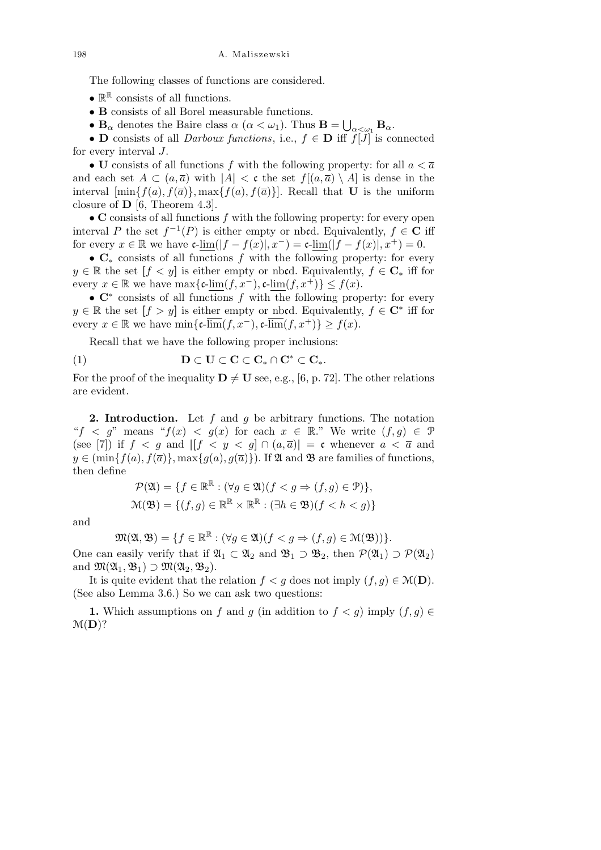The following classes of functions are considered.

- $\bullet$   $\mathbb{R}^{\mathbb{R}}$  consists of all functions.
- *•* **B** consists of all Borel measurable functions.
- $\mathbf{B}_{\alpha}$  denotes the Baire class  $\alpha$  ( $\alpha < \omega_1$ ). Thus  $\mathbf{B} =$ S  $_{\alpha<\omega_1}$  **B**<sub> $\alpha$ </sub>.

*•* **D** consists of all *Darboux functions*, i.e., *f ∈* **D** iff *f*[*J*] is connected for every interval *J*.

• **U** consists of all functions  $f$  with the following property: for all  $a < \overline{a}$ and each set  $A \subset (a, \overline{a})$  with  $|A| < c$  the set  $f|(a, \overline{a}) \setminus A|$  is dense in the interval  $[\min\{f(a), f(\overline{a})\}, \max\{f(a), f(\overline{a})\}]$ . Recall that **U** is the uniform closure of **D** [6, Theorem 4.3].

*•* **C** consists of all functions *f* with the following property: for every open interval *P* the set  $f^{-1}(P)$  is either empty or nbcd. Equivalently,  $f \in \mathbb{C}$  iff for every  $x \in \mathbb{R}$  we have  $\mathfrak{c}\text{-}\lim(|f - f(x)|, x^-) = \mathfrak{c}\text{-}\lim(|f - f(x)|, x^+) = 0.$ 

*•* **C***<sup>∗</sup>* consists of all functions *f* with the following property: for every *y* ∈ R the set  $[f < y]$  is either empty or nbcd. Equivalently,  $f \in \mathbb{C}_*$  iff for every  $x \in \mathbb{R}$  we have  $\max\{\text{c-lim}(f, x^-), \text{c-lim}(f, x^+) \} \leq f(x)$ .

*•* **C***<sup>∗</sup>* consists of all functions *f* with the following property: for every *y* ∈ R the set  $[f > y]$  is either empty or nbcd. Equivalently,  $f \in \mathbb{C}^*$  iff for every  $x \in \mathbb{R}$  we have  $\min\{\mathfrak{c}\text{-}\overline{\lim}(f,x^-),\mathfrak{c}\text{-}\overline{\lim}(f,x^+)\} \geq f(x)$ .

Recall that we have the following proper inclusions:

$$
(1) \qquad \qquad \mathbf{D}\subset \mathbf{U}\subset \mathbf{C}\subset \mathbf{C}_{*}\cap \mathbf{C}^{*}\subset \mathbf{C}_{*}.
$$

For the proof of the inequality  $\mathbf{D} \neq \mathbf{U}$  see, e.g., [6, p. 72]. The other relations are evident.

**2. Introduction.** Let *f* and *g* be arbitrary functions. The notation " $f < g$ " means " $f(x) < g(x)$  for each  $x \in \mathbb{R}$ ." We write  $(f, g) \in \mathcal{P}$ (see [7]) if  $f < g$  and  $|[f < y < g] \cap (a, \overline{a})| = c$  whenever  $a < \overline{a}$  and  $y \in \left(\min\{f(a), f(\overline{a})\}, \max\{g(a), g(\overline{a})\}\right)$ . If  $\mathfrak A$  and  $\mathfrak B$  are families of functions, then define

$$
\mathcal{P}(\mathfrak{A}) = \{ f \in \mathbb{R}^{\mathbb{R}} : (\forall g \in \mathfrak{A})(f < g \Rightarrow (f, g) \in \mathfrak{P}) \},
$$
\n
$$
\mathfrak{M}(\mathfrak{B}) = \{ (f, g) \in \mathbb{R}^{\mathbb{R}} \times \mathbb{R}^{\mathbb{R}} : (\exists h \in \mathfrak{B})(f < h < g) \}
$$

and

$$
\mathfrak{M}(\mathfrak{A},\mathfrak{B})=\{f\in\mathbb{R}^{\mathbb{R}}:(\forall g\in\mathfrak{A})(f
$$

One can easily verify that if  $\mathfrak{A}_1 \subset \mathfrak{A}_2$  and  $\mathfrak{B}_1 \supset \mathfrak{B}_2$ , then  $\mathcal{P}(\mathfrak{A}_1) \supset \mathcal{P}(\mathfrak{A}_2)$ and  $\mathfrak{M}(\mathfrak{A}_1, \mathfrak{B}_1) \supset \mathfrak{M}(\mathfrak{A}_2, \mathfrak{B}_2)$ .

It is quite evident that the relation  $f < q$  does not imply  $(f, q) \in \mathcal{M}(\mathbf{D})$ . (See also Lemma 3.6.) So we can ask two questions:

1. Which assumptions on *f* and *g* (in addition to  $f < g$ ) imply  $(f, g) \in$ M(**D**)?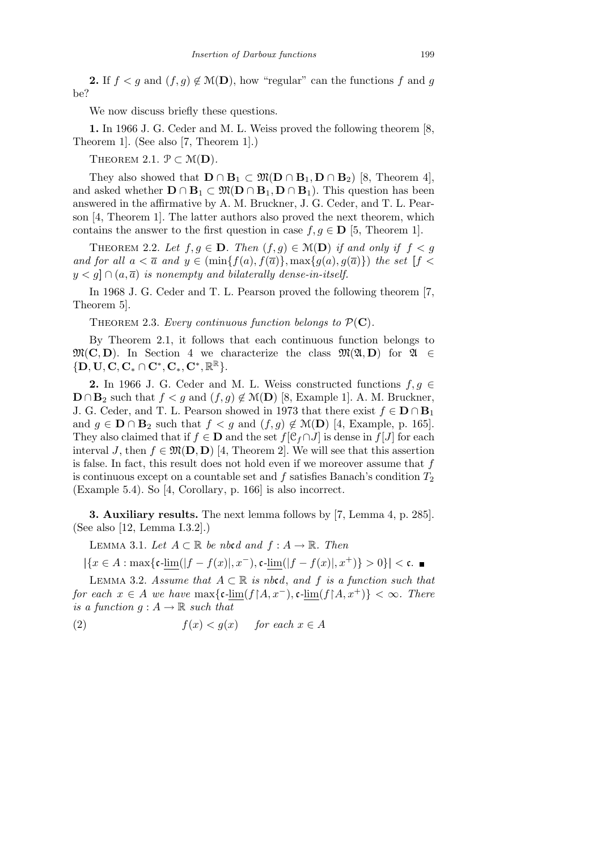**2.** If  $f < g$  and  $(f, g) \notin \mathcal{M}(\mathbf{D})$ , how "regular" can the functions f and g be?

We now discuss briefly these questions.

**1.** In 1966 J. G. Ceder and M. L. Weiss proved the following theorem [8, Theorem 1]. (See also [7, Theorem 1].)

THEOREM 2.1.  $\mathcal{P} \subset \mathcal{M}(\mathbf{D})$ .

They also showed that  $\mathbf{D} \cap \mathbf{B}_1 \subset \mathfrak{M}(\mathbf{D} \cap \mathbf{B}_1, \mathbf{D} \cap \mathbf{B}_2)$  [8, Theorem 4], and asked whether  $\mathbf{D} \cap \mathbf{B}_1 \subset \mathfrak{M}(\mathbf{D} \cap \mathbf{B}_1, \mathbf{D} \cap \mathbf{B}_1)$ . This question has been answered in the affirmative by A. M. Bruckner, J. G. Ceder, and T. L. Pearson [4, Theorem 1]. The latter authors also proved the next theorem, which contains the answer to the first question in case  $f, g \in \mathbf{D}$  [5, Theorem 1].

THEOREM 2.2. Let  $f, g \in \mathbf{D}$ . Then  $(f, g) \in \mathcal{M}(\mathbf{D})$  if and only if  $f < g$ and for all  $a < \overline{a}$  and  $y \in (\min\{f(a), f(\overline{a})\}, \max\{g(a), g(\overline{a})\})$  the set  $[f <$  $y < g$   $\cap$   $(a, \overline{a})$  *is nonempty and bilaterally dense-in-itself.* 

In 1968 J. G. Ceder and T. L. Pearson proved the following theorem [7, Theorem 5].

THEOREM 2.3. *Every continuous function belongs to*  $P(C)$ *.* 

By Theorem 2.1, it follows that each continuous function belongs to  $\mathfrak{M}(\mathbf{C}, \mathbf{D})$ . In Section 4 we characterize the class  $\mathfrak{M}(\mathfrak{A}, \mathbf{D})$  for  $\mathfrak{A} \in$ *{***D***,* **U***,* **C***,* **C***<sup>∗</sup> ∩* **C***<sup>∗</sup> ,* **C***∗,* **C***<sup>∗</sup> ,* R <sup>R</sup>*}*.

**2.** In 1966 J. G. Ceder and M. L. Weiss constructed functions  $f, g \in$ **D** ∩ **B**<sub>2</sub> such that  $f < g$  and  $(f, g) \notin M$ **(D**) [8, Example 1]. A. M. Bruckner, J. G. Ceder, and T. L. Pearson showed in 1973 that there exist  $f \in D ∩ B_1$ and  $g \in \mathbf{D} \cap \mathbf{B}_2$  such that  $f < g$  and  $(f, g) \notin \mathcal{M}(\mathbf{D})$  [4, Example, p. 165]. They also claimed that if  $f \in \mathbf{D}$  and the set  $f[\mathcal{C}_f \cap J]$  is dense in  $f[J]$  for each interval *J*, then  $f \in \mathfrak{M}(\mathbf{D}, \mathbf{D})$  [4, Theorem 2]. We will see that this assertion is false. In fact, this result does not hold even if we moreover assume that *f* is continuous except on a countable set and  $f$  satisfies Banach's condition  $T_2$ (Example 5.4). So [4, Corollary, p. 166] is also incorrect.

**3. Auxiliary results.** The next lemma follows by [7, Lemma 4, p. 285]. (See also [12, Lemma I.3.2].)

LEMMA 3.1. *Let*  $A ⊂ ℝ$  *be nbcd and*  $f : A → ℝ$ *. Then* 

 $|\{x \in A : \max\{c\text{-lim}(|f - f(x)|, x^{-}), c\text{-lim}(|f - f(x)|, x^{+})\} > 0\}| < \mathfrak{c}.$ 

LEMMA 3.2. *Assume that*  $A ⊂ ℝ$  *is nbcd, and*  $f$  *is a function such that for each*  $x \in A$  *we have*  $\max\{\text{c-lim}(f \mid A, x^{-}), \text{c-lim}(f \mid A, x^{+})\} < \infty$ *. There is a function*  $g : A \rightarrow \mathbb{R}$  *such that* 

(2) 
$$
f(x) < g(x)
$$
 for each  $x \in A$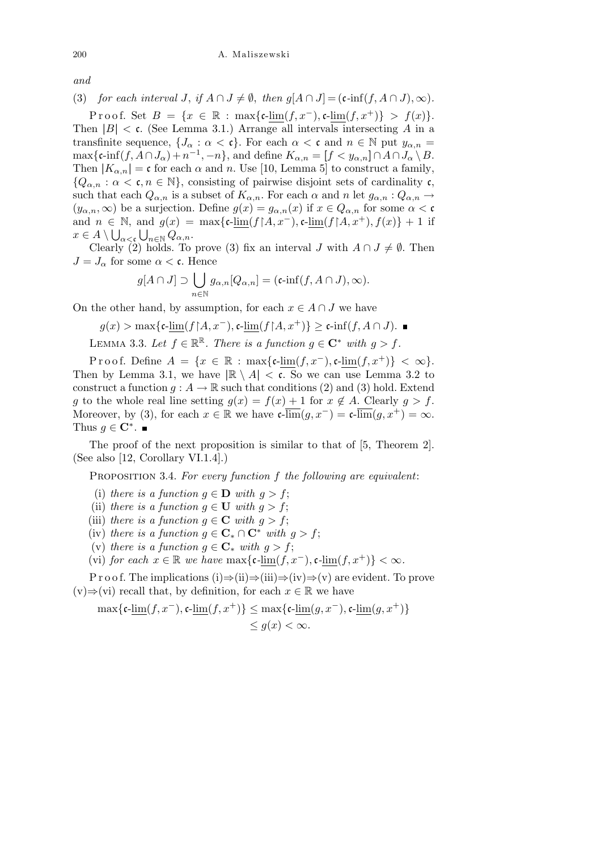*and*

(3) *for each interval J*, *if*  $A \cap J \neq \emptyset$ , *then*  $g[A \cap J] = (c \cdot inf(f, A \cap J), \infty)$ *.* 

Proof. Set  $B = \{x \in \mathbb{R} : \max\{c\text{-lim}(f, x^{-}), c\text{-lim}(f, x^{+})\} > f(x)\}.$ Then  $|B| < c$ . (See Lemma 3.1.) Arrange all intervals intersecting A in a transfinite sequence,  $\{J_\alpha : \alpha < \mathfrak{c}\}\$ . For each  $\alpha < \mathfrak{c}$  and  $n \in \mathbb{N}$  put  $y_{\alpha,n} =$  $\max\{\mathfrak{c}\text{-}\!\inf(f,A\cap J_\alpha)+n^{-1},-n\}$ , and define  $K_{\alpha,n}=[f\lt y_{\alpha,n}]\cap A\cap J_\alpha\setminus B$ . Then  $|K_{\alpha,n}| = \mathfrak{c}$  for each  $\alpha$  and  $n$ . Use [10, Lemma 5] to construct a family,  ${Q_{\alpha,n} : \alpha < \mathfrak{c}, n \in \mathbb{N}}$ , consisting of pairwise disjoint sets of cardinality  $\mathfrak{c}$ , such that each  $Q_{\alpha,n}$  is a subset of  $K_{\alpha,n}$ . For each  $\alpha$  and  $n$  let  $g_{\alpha,n}: Q_{\alpha,n} \to$  $(y_{\alpha,n},\infty)$  be a surjection. Define  $g(x) = g_{\alpha,n}(x)$  if  $x \in Q_{\alpha,n}$  for some  $\alpha < \mathfrak{c}$ and  $n \in \mathbb{N}$ , and  $g(x) = \max\{\mathfrak{c}\text{-}\lim_{s \to \infty} (f \mid A, x^{-}), \mathfrak{c}\text{-}\lim_{s \to \infty} (f \mid A, x^{+}), f(x)\} + 1$  if  $x \in A \setminus \bigcup_{\alpha < \mathfrak{c}} \bigcup_{n \in \mathbb{N}} Q_{\alpha, n}.$ 

Clearly (2) holds. To prove (3) fix an interval *J* with  $A \cap J \neq \emptyset$ . Then  $J = J_{\alpha}$  for some  $\alpha < \mathfrak{c}$ . Hence

$$
g[A \cap J] \supset \bigcup_{n \in \mathbb{N}} g_{\alpha,n}[Q_{\alpha,n}] = (\mathfrak{c}\text{-}\!\inf(f, A \cap J), \infty).
$$

On the other hand, by assumption, for each  $x \in A \cap J$  we have

$$
g(x) > \max\{\mathfrak{c}\text{-}\underline{\lim}(f\mathord{\upharpoonright} A, x^-), \mathfrak{c}\text{-}\underline{\lim}(f\mathord{\upharpoonright} A, x^+)\} \geq \mathfrak{c}\text{-}\inf(f, A\cap J).
$$

LEMMA 3.3. Let  $f \in \mathbb{R}^{\mathbb{R}}$ . There is a function  $g \in \mathbb{C}^*$  with  $g > f$ .

Proof. Define  $A = \{x \in \mathbb{R} : \max\{\text{c-lim}(f, x^{-}), \text{c-lim}(f, x^{+})\} < \infty\}.$ Then by Lemma 3.1, we have  $|\mathbb{R} \setminus A| < \mathfrak{c}$ . So we can use Lemma 3.2 to construct a function  $q: A \to \mathbb{R}$  such that conditions (2) and (3) hold. Extend *g* to the whole real line setting  $g(x) = f(x) + 1$  for  $x \notin A$ . Clearly  $g > f$ . Moreover, by (3), for each  $x \in \mathbb{R}$  we have  $\mathfrak{c}\text{-}\overline{\lim}(q, x^-) = \mathfrak{c}\text{-}\overline{\lim}(q, x^+) = \infty$ . Thus  $g \in \mathbb{C}^*$ .

The proof of the next proposition is similar to that of [5, Theorem 2]. (See also [12, Corollary VI.1.4].)

Proposition 3.4. *For every function f the following are equivalent*:

- (i) *there is a function*  $q \in \mathbf{D}$  *with*  $q > f$ ;
- (ii) *there is a function*  $g \in U$  *with*  $g > f$ ;
- (iii) *there is a function*  $q \in \mathbb{C}$  *with*  $q > f$ ;
- (iv) *there is a function*  $g \in \mathbf{C}_* \cap \mathbf{C}^*$  *with*  $g > f$ ;
- (v) *there is a function*  $q \in \mathbf{C}^*$  *with*  $q > f$ ;
- (vi) *for each*  $x \in \mathbb{R}$  *we have*  $\max\{\mathfrak{c}\text{-}\lim(f, x^{-}), \mathfrak{c}\text{-}\lim(f, x^{+})\} < \infty$ .

P r o o f. The implications (i)*⇒*(ii)*⇒*(iii)*⇒*(iv)*⇒*(v) are evident. To prove  $(v)$ ⇒(vi) recall that, by definition, for each  $x \in \mathbb{R}$  we have

$$
\begin{aligned} \max\{\mathfrak{c}\text{-}\underline{\lim}(f,x^-),\mathfrak{c}\text{-}\underline{\lim}(f,x^+)\} &\leq \max\{\mathfrak{c}\text{-}\underline{\lim}(g,x^-),\mathfrak{c}\text{-}\underline{\lim}(g,x^+)\} \\ &\leq g(x) < \infty. \end{aligned}
$$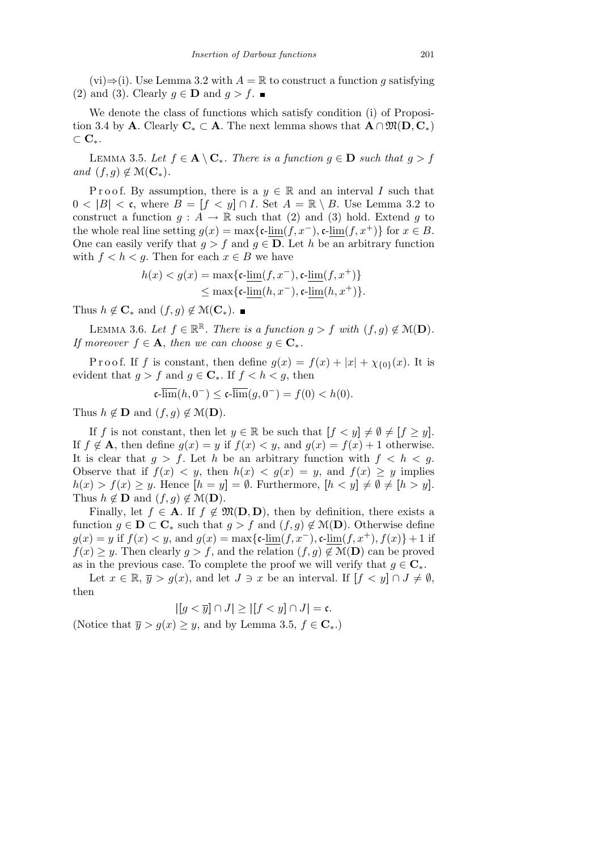(vi)*⇒*(i). Use Lemma 3.2 with *A* = R to construct a function *g* satisfying (2) and (3). Clearly  $g \in \mathbf{D}$  and  $g > f$ .

We denote the class of functions which satisfy condition (i) of Proposition 3.4 by **A**. Clearly  $C_* \subset A$ . The next lemma shows that  $A \cap M(D, C_*)$ *⊂* **C***∗*.

LEMMA 3.5. Let  $f \in \mathbf{A} \setminus \mathbf{C}_*$ . There is a function  $g \in \mathbf{D}$  such that  $g > f$  $and$   $(f, q) \notin \mathcal{M}(\mathbf{C}_*)$ .

Proof. By assumption, there is a  $y \in \mathbb{R}$  and an interval *I* such that  $0 < |B| < \mathfrak{c}$ , where  $B = [f < y] \cap I$ . Set  $A = \mathbb{R} \setminus B$ . Use Lemma 3.2 to construct a function  $q: A \to \mathbb{R}$  such that (2) and (3) hold. Extend q to the whole real line setting  $g(x) = \max\{\mathfrak{c}\text{-lim}(f, x^-), \mathfrak{c}\text{-lim}(f, x^+)\}\$  for  $x \in B$ . One can easily verify that  $g > f$  and  $g \in \mathbf{D}$ . Let *h* be an arbitrary function with  $f < h < g$ . Then for each  $x \in B$  we have

$$
h(x) < g(x) = \max\{\mathfrak{c}\text{-}\underline{\lim}(f, x^-), \mathfrak{c}\text{-}\underline{\lim}(f, x^+)\}
$$
\n
$$
\leq \max\{\mathfrak{c}\text{-}\lim(h, x^-), \mathfrak{c}\text{-}\lim(h, x^+)\}.
$$

Thus  $h \notin \mathbf{C}_*$  and  $(f, g) \notin \mathcal{M}(\mathbf{C}_*)$ . ■

LEMMA 3.6. Let  $f \in \mathbb{R}^{\mathbb{R}}$ . There is a function  $g > f$  with  $(f, g) \notin \mathcal{M}(\mathbf{D})$ . *If moreover*  $f \in \mathbf{A}$ , *then we can choose*  $g \in \mathbf{C}_*$ .

Proof. If f is constant, then define  $g(x) = f(x) + |x| + \chi_{\{0\}}(x)$ . It is evident that  $g > f$  and  $g \in \mathbb{C}_*$ . If  $f < h < g$ , then

$$
\mathfrak{c}\text{-}\overline{\lim}(h,0^-) \le \mathfrak{c}\text{-}\overline{\lim}(g,0^-) = f(0) < h(0).
$$

Thus  $h \notin \mathbf{D}$  and  $(f, g) \notin \mathcal{M}(\mathbf{D})$ .

If *f* is not constant, then let  $y \in \mathbb{R}$  be such that  $[f < y] \neq \emptyset \neq [f \geq y]$ . If  $f \notin A$ , then define  $g(x) = y$  if  $f(x) < y$ , and  $g(x) = f(x) + 1$  otherwise. It is clear that  $q > f$ . Let *h* be an arbitrary function with  $f < h < q$ . Observe that if  $f(x) < y$ , then  $h(x) < g(x) = y$ , and  $f(x) \ge y$  implies  $h(x) > f(x) \geq y$ . Hence  $[h = y] = \emptyset$ . Furthermore,  $[h < y] \neq \emptyset \neq [h > y]$ . Thus  $h \notin \mathbf{D}$  and  $(f, g) \notin \mathcal{M}(\mathbf{D})$ .

Finally, let  $f \in \mathbf{A}$ . If  $f \notin \mathfrak{M}(\mathbf{D}, \mathbf{D})$ , then by definition, there exists a function  $g \in \mathbf{D} \subset \mathbf{C}_*$  such that  $g > f$  and  $(f, g) \notin \mathcal{M}(\mathbf{D})$ . Otherwise define *g*(*x*) = *y* if *f*(*x*) < *y*, and *g*(*x*) = max{**c**-lim(*f, x<sup>−</sup>)*, **c**-lim(*f, x*<sup>+</sup>), *f*(*x*)} + 1 if  $f(x) \geq y$ . Then clearly  $g > f$ , and the relation  $(f, g) \notin \mathcal{M}(\mathbf{D})$  can be proved as in the previous case. To complete the proof we will verify that  $g \in \mathbb{C}_*$ .

Let  $x \in \mathbb{R}, \overline{y} > g(x)$ , and let  $J \ni x$  be an interval. If  $[f < y] \cap J \neq \emptyset$ , then

$$
|[g < \overline{y}] \cap J| \ge |[f < y] \cap J| = \mathfrak{c}.
$$

(Notice that  $\overline{y} > g(x) \geq y$ , and by Lemma 3.5,  $f \in \mathbb{C}_*$ .)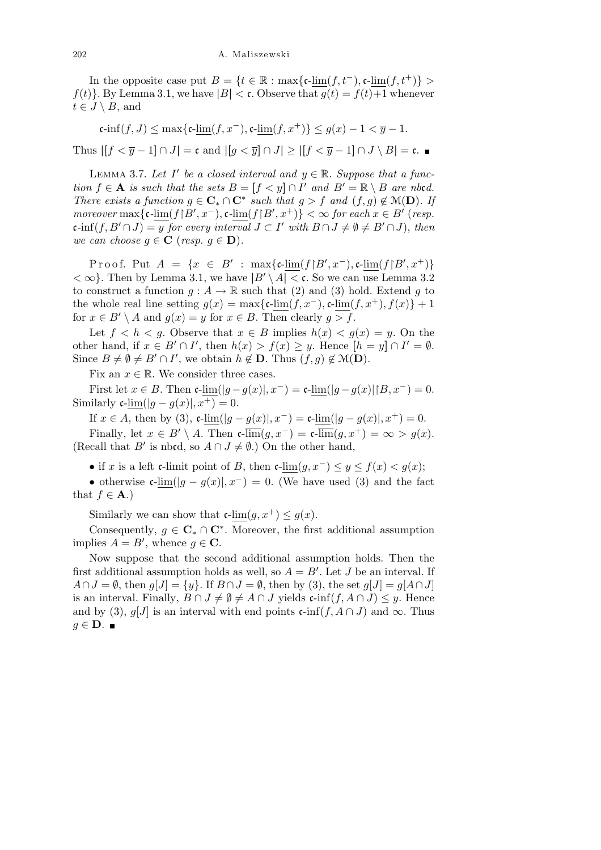In the opposite case put  $B = \{t \in \mathbb{R} : \max\{\text{c-lim}(f, t^{-}), \text{c-lim}(f, t^{+})\} > \}$  $f(t)$ . By Lemma 3.1, we have  $|B| < \mathfrak{c}$ . Observe that  $g(t) = f(t) + 1$  whenever  $t \in J \setminus B$ , and

$$
\mathfrak{c}\text{-inf}(f,J) \le \max\{\mathfrak{c}\text{-}\underline{\lim}(f,x^-),\mathfrak{c}\text{-}\underline{\lim}(f,x^+)\} \le g(x) - 1 < \overline{y} - 1.
$$
\nThus  $|[f < \overline{y} - 1] \cap J| = \mathfrak{c}$  and  $|[g < \overline{y}] \cap J| \ge |[f < \overline{y} - 1] \cap J \setminus B| = \mathfrak{c}$ .

LEMMA 3.7. Let *I'* be a closed interval and  $y \in \mathbb{R}$ . Suppose that a func*tion*  $f \in \mathbf{A}$  *is such that the sets*  $B = [f \lt y] \cap I'$  *and*  $B' = \mathbb{R} \setminus B$  *are nbcd. There exists a function*  $g \in \mathbf{C}_* \cap \mathbf{C}^*$  *such that*  $g > f$  *and*  $(f, g) \notin \mathcal{M}(\mathbf{D})$ *. If* moreover  $\max\{\mathfrak{c}\text{-lim}(f|B',x^-),\mathfrak{c}\text{-lim}(f|B',x^+)\}<\infty$  for each  $x\in B'$  (resp.  $\mathfrak{c}\text{-}\!\inf(f,B'\cap J)=y$  for every interval  $J\subset I'$  with  $B\cap J\neq\emptyset\neq B'\cap J$ , then *we can choose*  $q \in \mathbf{C}$  (*resp.*  $q \in \mathbf{D}$ ).

 $\text{Proof.}$  Put  $A = \{x \in B' : \max\{\text{c-lim}(f|B', x^{-}), \text{c-lim}(f|B', x^{+})\}$  $<\infty$ . Then by Lemma 3.1, we have  $|B' \setminus A| < \mathfrak{c}$ . So we can use Lemma 3.2 to construct a function  $g: A \to \mathbb{R}$  such that (2) and (3) hold. Extend g to the whole real line setting  $q(x) = \max\{\text{c-lim}(f, x^-), \text{c-lim}(f, x^+), f(x)\} + 1$ for  $x \in B' \setminus A$  and  $g(x) = y$  for  $x \in B$ . Then clearly  $g > f$ .

Let  $f < h < g$ . Observe that  $x \in B$  implies  $h(x) < g(x) = y$ . On the other hand, if  $x \in B' \cap I'$ , then  $h(x) > f(x) \geq y$ . Hence  $[h = y] \cap I' = \emptyset$ . Since  $B \neq \emptyset \neq B' \cap I'$ , we obtain  $h \notin \mathbf{D}$ . Thus  $(f, g) \notin \mathcal{M}(\mathbf{D})$ .

Fix an  $x \in \mathbb{R}$ . We consider three cases.

First let  $x \in B$ . Then  $\mathfrak{c}\text{-}\lim(|g - g(x)|, x^-) = \mathfrak{c}\text{-}\lim(|g - g(x)| |B, x^-) = 0$ . Similarly  $c$ -lim( $|q - q(x)|$ ,  $x^+$ ) = 0.

If *x* ∈ *A*, then by (3), c- $\lim_{x \to 0} (|g - g(x)|, x^-) =$  c- $\lim_{x \to 0} (|g - g(x)|, x^+) = 0$ .

Finally, let  $x \in B' \setminus A$ . Then  $\mathfrak{c}\text{-}\overline{\lim}(g, x^-) = \mathfrak{c}\text{-}\overline{\lim}(g, x^+) = \infty > g(x)$ . (Recall that *B<sup>'</sup>* is nbcd, so  $A \cap J \neq \emptyset$ .) On the other hand,

*•* if *x* is a left c-limit point of *B*, then c-lim $(g, x^-) \leq y \leq f(x) < g(x);$ 

• otherwise  $\mathfrak{c}\text{-lim}(|g - g(x)|, x^-) = 0$ . (We have used (3) and the fact that  $f \in \mathbf{A}$ .)

Similarly we can show that  $\mathfrak{c}\text{-lim}(g, x^+) \leq g(x)$ .

Consequently,  $g \in \mathbb{C}_* \cap \mathbb{C}^*$ . Moreover, the first additional assumption implies  $A = B'$ , whence  $g \in \mathbb{C}$ .

Now suppose that the second additional assumption holds. Then the first additional assumption holds as well, so  $A = B'$ . Let *J* be an interval. If *A* $\cap$ *J* =  $\emptyset$ , then *g*[*J*] =  $\{y\}$ . If  $B \cap J = \emptyset$ , then by (3), the set  $g[J] = g[A \cap J]$ is an interval. Finally,  $B \cap J \neq \emptyset \neq A \cap J$  yields  $c\text{-inf}(f, A \cap J) \leq y$ . Hence and by (3),  $g[J]$  is an interval with end points  $c\text{-inf}(f, A \cap J)$  and  $\infty$ . Thus *g* ∈ **D**.  $\blacksquare$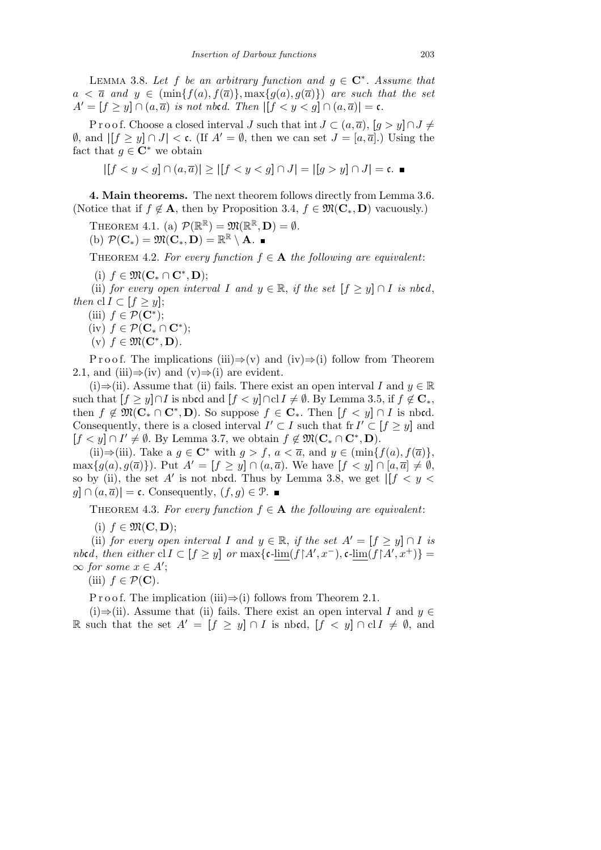LEMMA 3.8. Let f be an arbitrary function and  $g \in \mathbb{C}^*$ . Assume that  $a < \bar{a}$  and  $y \in (\min\{f(a), f(\bar{a})\}, \max\{g(a), g(\bar{a})\})$  are such that the set  $A' = [f \ge y] \cap (a, \overline{a})$  *is not nbcd. Then*  $|[f < y < g] \cap (a, \overline{a})| = c$ *.* 

P r o o f. Choose a closed interval *J* such that int  $J \subset (a, \overline{a})$ ,  $[g > y] \cap J \neq$ *Ø*, and  $| [f \ge y] ∩ J | < c$ . (If *A'* = *Ø*, then we can set *J* = [*a*, *a*].) Using the fact that  $q \in \mathbb{C}^*$  we obtain

$$
|[f < y < g] \cap (a, \overline{a})| \ge |[f < y < g] \cap J| = |[g > y] \cap J| = \mathfrak{c}.
$$

**4. Main theorems.** The next theorem follows directly from Lemma 3.6. (Notice that if  $f \notin A$ , then by Proposition 3.4,  $f \in \mathfrak{M}(\mathbf{C}_*, \mathbf{D})$  vacuously.)

THEOREM 4.1. (a)  $\mathcal{P}(\mathbb{R}^{\mathbb{R}}) = \mathfrak{M}(\mathbb{R}^{\mathbb{R}}, \mathbf{D}) = \emptyset$ .  $P(\mathbf{C}_*) = \mathfrak{M}(\mathbf{C}_*, \mathbf{D}) = \mathbb{R}^{\mathbb{R}} \setminus \mathbf{A}.$ 

THEOREM 4.2. For every function  $f \in \mathbf{A}$  the following are equivalent:

 $(i)$   $f \in \mathfrak{M}(\mathbf{C}_* \cap \mathbf{C}^*, \mathbf{D});$ 

(ii) *for every open interval I* and  $y \in \mathbb{R}$ , *if the set*  $[f \geq y] \cap I$  *is nbcd*, *then*  $\text{cl } I \subset [f \geq y]$ ;

- (iii)  $f \in \mathcal{P}(\mathbf{C}^*)$ ;
- (iv)  $f \in \mathcal{P}(\mathbf{C}_* \cap \mathbf{C}^*)$ ;
- $(v)$   $f \in \mathfrak{M}(\mathbf{C}^*, \mathbf{D})$ .

P r o o f. The implications (iii)*⇒*(v) and (iv)*⇒*(i) follow from Theorem 2.1, and (iii) $\Rightarrow$ (iv) and (v) $\Rightarrow$ (i) are evident.

(i) $\Rightarrow$ (ii). Assume that (ii) fails. There exist an open interval *I* and *y*  $\in \mathbb{R}$ such that  $[f \geq y] \cap I$  is nbcd and  $[f < y] \cap c$   $I \neq \emptyset$ . By Lemma 3.5, if  $f \notin \mathbb{C}_*$ , then  $f \notin \mathfrak{M}(\mathbf{C}_* \cap \mathbf{C}^*, \mathbf{D})$ . So suppose  $f \in \mathbf{C}_*$ . Then  $[f < y] \cap I$  is nbcd. Consequently, there is a closed interval  $I' \subset I$  such that fr  $I' \subset [f \geq y]$  and  $[f < y] \cap I' \neq \emptyset$ . By Lemma 3.7, we obtain  $f \notin \mathfrak{M}(\mathbf{C}_* \cap \mathbf{C}^*, \mathbf{D})$ .

(ii)⇒(iii). Take a *g* ∈ **C**<sup>\*</sup> with *g > f*, *a* <  $\overline{a}$ , and *y* ∈ (min{*f*(*a*)*, f*( $\overline{a}$ )}*,*  $\max\{g(a),g(\overline{a})\}\)$ . Put  $A'=[f\geq y]\cap(a,\overline{a})$ . We have  $[f < y]\cap[a,\overline{a}] \neq \emptyset$ , so by (ii), the set *A'* is not nbcd. Thus by Lemma 3.8, we get  $||f|| < y$ *g* $|o(a, \overline{a})|$  = c. Consequently,  $(f, g)$  ∈ P. ■

THEOREM 4.3. For every function  $f \in \mathbf{A}$  the following are equivalent:

 $(i)$   $f \in \mathfrak{M}(\mathbf{C}, \mathbf{D})$ ;

(ii) *for every open interval I* and  $y \in \mathbb{R}$ , *if the set*  $A' = [f \ge y] \cap I$  *is* nbcd, then either  $\text{cl } I \subset [f \geq y]$  or  $\max\{\mathfrak{c}\text{-lim}(f[A', x^{-}), \mathfrak{c}\text{-lim}(f[A', x^{+})\}$  $\infty$  *for some x* ∈ *A*<sup> $\prime$ </sup>;

(iii)  $f \in \mathcal{P}(\mathbf{C})$ .

P r o o f. The implication (iii) $\Rightarrow$ (i) follows from Theorem 2.1.

(i) $\Rightarrow$ (ii). Assume that (ii) fails. There exist an open interval *I* and *y* ∈ R such that the set  $A' = [f \ge y] \cap I$  is nbcd,  $[f < y] \cap cI \ne \emptyset$ , and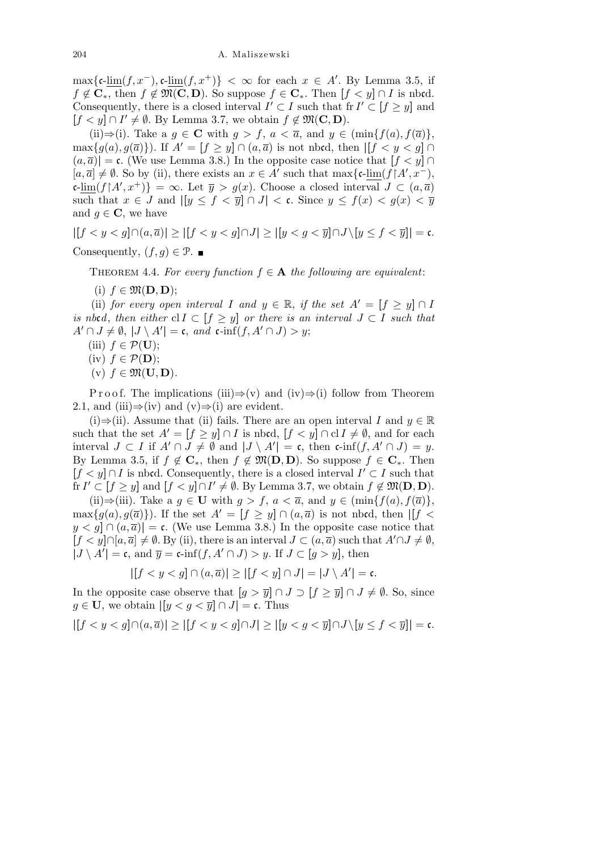$\max{\{\mathfrak{c}\text{-}\lim(f,x^-),\mathfrak{c}\text{-}\lim(f,x^+)\}} < \infty$  for each  $x \in A'$ . By Lemma 3.5, if  $f \notin \mathbf{C}_*$ , then  $f \notin \mathfrak{M}(\mathbf{C}, \mathbf{D})$ . So suppose  $f \in \mathbf{C}_*$ . Then  $[f < y] \cap I$  is nbcd. Consequently, there is a closed interval  $I' \subset I$  such that fr  $I' \subset [f \geq y]$  and  $[f < y] \cap I' \neq \emptyset$ . By Lemma 3.7, we obtain  $f \notin \mathfrak{M}(\mathbf{C}, \mathbf{D})$ .

(ii) $\Rightarrow$ (i). Take a *q*  $\in$  **C** with *q*  $> f$ , *a*  $\lt$   $\bar{a}$ , and *y*  $\in$  (min $\{f(a), f(\bar{a})\}$ ),  $\max\{g(a), g(\overline{a})\}\)$ . If  $A' = [f \geq y] \cap (a, \overline{a})$  is not nbcd, then  $|[f < y < g] \cap (a, \overline{a})$  $(a,\overline{a})$  = c. (We use Lemma 3.8.) In the opposite case notice that  $[f < y]$   $\cap$  $[a, \overline{a}] \neq \emptyset$ . So by (ii), there exists an  $x \in A'$  such that max{ $c$ -lim( $f \upharpoonright A', x^-$ ),  $\{\sin(f(A', x^+)\} = \infty$ . Let  $\overline{y} > g(x)$ . Choose a closed interval  $J \subset (a, \overline{a})$ such that  $x \in J$  and  $|y \le f < \overline{y}| \cap J| < c$ . Since  $y \le f(x) < g(x) < \overline{y}$ and  $g \in \mathbf{C}$ , we have

 $|[f < y < g] \cap (a, \overline{a})| \ge |[f < y < g] \cap J| \ge |[y < g < \overline{y}] \cap J \setminus [y \le f < \overline{y}]| = \mathfrak{c}.$ Consequently,  $(f, q) \in \mathcal{P}$ .

THEOREM 4.4. For every function  $f \in \mathbf{A}$  the following are equivalent:

 $(i)$   $f \in \mathfrak{M}(\mathbf{D}, \mathbf{D});$ 

(ii) *for every open interval I* and  $y \in \mathbb{R}$ , *if the set*  $A' = [f \ge y] \cap I$ *is nbcd, then either*  $cl I \subset [f \geq y]$  *or there is an interval*  $J \subset I$  *such that*  $A' \cap J \neq \emptyset$ ,  $|J \setminus A'| = \mathfrak{c}$ , and  $\mathfrak{c}$ *-*inf $(f, A' \cap J) > y$ ;

- (iii)  $f \in \mathcal{P}(\mathbf{U});$
- (iv)  $f \in \mathcal{P}(\mathbf{D});$
- $(v)$   $f \in \mathfrak{M}(\mathbf{U}, \mathbf{D})$ .

P r o o f. The implications (iii)*⇒*(v) and (iv)*⇒*(i) follow from Theorem 2.1, and (iii) $\Rightarrow$ (iv) and (v) $\Rightarrow$ (i) are evident.

(i) $\Rightarrow$ (ii). Assume that (ii) fails. There are an open interval *I* and *y*  $\in \mathbb{R}$ such that the set  $A' = [f \ge y] \cap I$  is nbcd,  $[f < y] \cap cI \ne \emptyset$ , and for each interval *J* ⊂ *I* if  $A' \cap J \neq \emptyset$  and  $|J \setminus A'| = \mathfrak{c}$ , then  $\mathfrak{c}\text{-inf}(f, A' \cap J) = y$ . By Lemma 3.5, if  $f \notin \mathbb{C}_*$ , then  $f \notin \mathfrak{M}(\mathbf{D}, \mathbf{D})$ . So suppose  $f \in \mathbb{C}_*$ . Then  $[f < y] \cap I$  is nbcd. Consequently, there is a closed interval  $I' \subset I$  such that  $\text{fr } I' \subset [f \geq y] \text{ and } [f < y] \cap I' \neq \emptyset.$  By Lemma 3.7, we obtain  $f \notin \mathfrak{M}(\mathbf{D}, \mathbf{D})$ .

(ii)⇒(iii). Take a *g* ∈ **U** with *g > f, a <*  $\overline{a}$ *,* and *y* ∈ (min{*f*(*a*)*,f*( $\overline{a}$ )}*,*  $\max\{g(a), g(\overline{a})\}\)$ . If the set  $A' = [f \geq y] \cap (a, \overline{a})$  is not nbcd, then  $\left| [f \leq y] \right|$  $y < g | \cap (a, \overline{a}) | = \mathfrak{c}$ . (We use Lemma 3.8.) In the opposite case notice that  $[f < y] \cap [a, \overline{a}] \neq \emptyset$ . By (ii), there is an interval  $J \subset (a, \overline{a})$  such that  $A' \cap J \neq \emptyset$ ,  $|J \setminus A'| = \mathfrak{c}$ , and  $\overline{y} = \mathfrak{c}\text{-}\inf(f, A' \cap J) > y$ . If  $J \subset [g > y]$ , then

$$
|[f < y < g] \cap (a, \overline{a})| \ge |[f < y] \cap J| = |J \setminus A'| = \mathfrak{c}.
$$

In the opposite case observe that  $[g > \overline{y}] \cap J \supset [f \ge \overline{y}] \cap J \ne \emptyset$ . So, since *g* ∈ **U**, we obtain  $| [y < q < \overline{y} ] \cap J |$  = c. Thus

 $| [f < y < g] \cap (a, \overline{a}) | \geq | [f < y < g] \cap J | \geq | [y < g < \overline{y}] \cap J \setminus [y \leq f < \overline{y}] | = \mathfrak{c}.$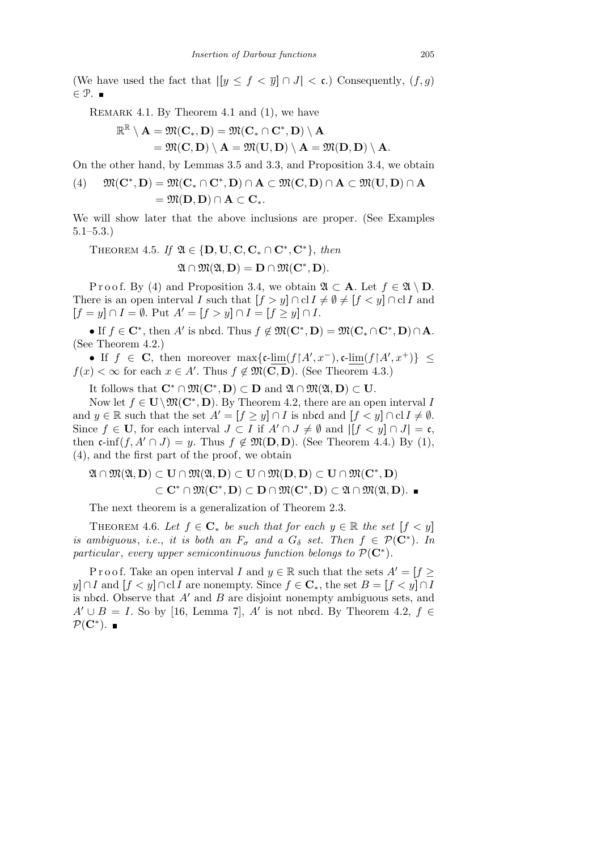(We have used the fact that  $|y \leq f \leq \overline{y}| \cap J| \leq \mathfrak{c}$ .) Consequently,  $(f, g)$ *∈* P.

REMARK 4.1. By Theorem 4.1 and (1), we have

$$
\mathbb{R}^\mathbb{R}\setminus \mathbf{A}=\mathfrak{M}(\mathbf{C}_*,\mathbf{D})=\mathfrak{M}(\mathbf{C}_*\cap \mathbf{C}^*,\mathbf{D})\setminus \mathbf{A}\\\phantom{\mathfrak{M}(\mathbf{C}_*)}=\mathfrak{M}(\mathbf{C},\mathbf{D})\setminus \mathbf{A}=\mathfrak{M}(\mathbf{U},\mathbf{D})\setminus \mathbf{A}=\mathfrak{M}(\mathbf{D},\mathbf{D})\setminus \mathbf{A}.
$$

On the other hand, by Lemmas 3.5 and 3.3, and Proposition 3.4, we obtain

(4) 
$$
\mathfrak{M}(\mathbf{C}^*, \mathbf{D}) = \mathfrak{M}(\mathbf{C}_* \cap \mathbf{C}^*, \mathbf{D}) \cap \mathbf{A} \subset \mathfrak{M}(\mathbf{C}, \mathbf{D}) \cap \mathbf{A} \subset \mathfrak{M}(\mathbf{U}, \mathbf{D}) \cap \mathbf{A} = \mathfrak{M}(\mathbf{D}, \mathbf{D}) \cap \mathbf{A} \subset \mathbf{C}_*.
$$

We will show later that the above inclusions are proper. (See Examples 5.1–5.3.)

THEOREM 4.5. *If*  $\mathfrak{A} \in \{D, \mathbf{U}, \mathbf{C}, \mathbf{C_*} \cap \mathbf{C^*}, \mathbf{C^*}\}\$ , then  $\mathfrak{A} \cap \mathfrak{M}(\mathfrak{A}, \mathbf{D}) = \mathbf{D} \cap \mathfrak{M}(\mathbf{C}^*, \mathbf{D}).$ 

Proof. By (4) and Proposition 3.4, we obtain  $\mathfrak{A} \subset \mathbf{A}$ . Let  $f \in \mathfrak{A} \setminus \mathbf{D}$ . There is an open interval *I* such that  $[f > y] \cap \text{cl } I \neq \emptyset \neq [f < y] \cap \text{cl } I$  and  $[f = y] \cap I = \emptyset$ . Put  $A' = [f > y] \cap I = [f \ge y] \cap I$ .

• If  $f \in \mathbb{C}^*$ , then *A'* is nbcd. Thus  $f \notin \mathfrak{M}(\mathbb{C}^*, \mathbb{D}) = \mathfrak{M}(\mathbb{C}_* \cap \mathbb{C}^*, \mathbb{D}) \cap \mathbb{A}$ . (See Theorem 4.2.)

• If  $f \in \mathbf{C}$ , then moreover  $\max\{\mathfrak{c}\text{-}\lim(f|A',x^{-}),\mathfrak{c}\text{-}\lim(f|A',x^{+})\}\leq$  $f(x) < \infty$  for each  $x \in A'$ . Thus  $f \notin \mathfrak{M}(\mathbf{C}, \mathbf{D})$ . (See Theorem 4.3.)

It follows that  $\mathbf{C}^* \cap \mathfrak{M}(\mathbf{C}^*, \mathbf{D}) \subset \mathbf{D}$  and  $\mathfrak{A} \cap \mathfrak{M}(\mathfrak{A}, \mathbf{D}) \subset \mathbf{U}$ .

Now let  $f \in U \setminus \mathfrak{M}(\mathbb{C}^*, \mathbb{D})$ . By Theorem 4.2, there are an open interval *I* and  $y \in \mathbb{R}$  such that the set  $A' = [f \ge y] \cap I$  is nbcd and  $[f < y] \cap cI$   $I \ne \emptyset$ . Since  $f \in U$ , for each interval  $J \subset I$  if  $A' \cap J \neq \emptyset$  and  $|[f < y] \cap J| = \mathfrak{c}$ , then  $\mathfrak{c}\text{-}\inf(f, A' \cap J) = y$ . Thus  $f \notin \mathfrak{M}(\mathbf{D}, \mathbf{D})$ . (See Theorem 4.4.) By (1), (4), and the first part of the proof, we obtain

$$
\mathfrak{A}\cap\mathfrak{M}(\mathfrak{A},D)\subset U\cap\mathfrak{M}(\mathfrak{A},D)\subset U\cap\mathfrak{M}(D,D)\subset U\cap\mathfrak{M}(\mathbf{C}^*,D)\\ \subset\mathbf{C}^*\cap\mathfrak{M}(\mathbf{C}^*,D)\subset D\cap\mathfrak{M}(\mathbf{C}^*,D)\subset\mathfrak{A}\cap\mathfrak{M}(\mathfrak{A},D).\ \blacksquare
$$

The next theorem is a generalization of Theorem 2.3.

THEOREM 4.6. Let  $f \in \mathbb{C}_*$  be such that for each  $y \in \mathbb{R}$  the set  $[f < y]$ *is ambiguous, i.e., it is both an*  $F_{\sigma}$  *and a*  $G_{\delta}$  *set. Then*  $f \in \mathcal{P}(\mathbb{C}^*)$ *. In particular*, *every upper semicontinuous function belongs to*  $\mathcal{P}(\mathbf{C}^*)$ .

P r o o f. Take an open interval *I* and  $y \in \mathbb{R}$  such that the sets  $A' = \{f \geq 0\}$ *y* $\vert f \vert < y \vert \cap c$ *I* **are nonempty. Since**  $f \in \mathbb{C}_*$ **, the set**  $B = [f \vert < y \vert \cap I$ is nbcd. Observe that  $A'$  and  $B$  are disjoint nonempty ambiguous sets, and  $A' \cup B = I$ . So by [16, Lemma 7], *A'* is not nbcd. By Theorem 4.2,  $f \in$ *P*(**C***<sup>∗</sup>* ).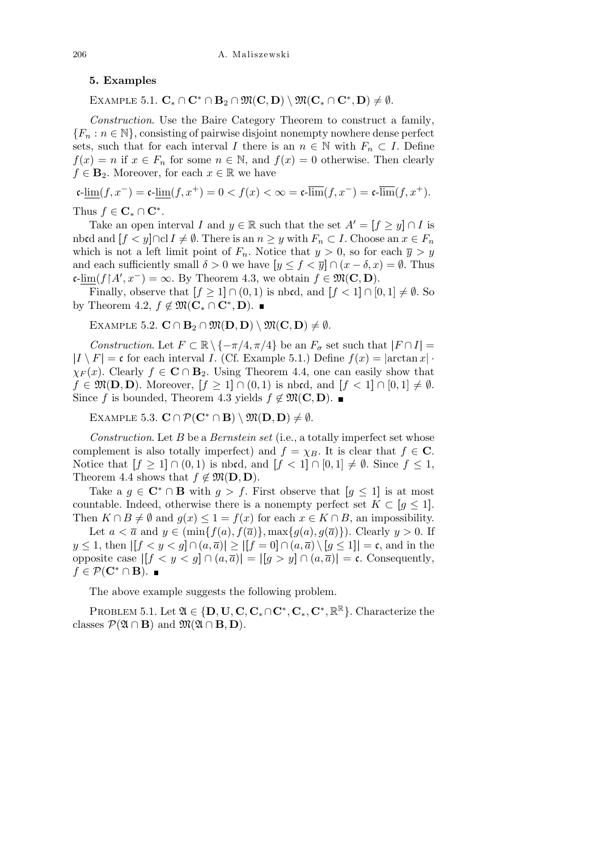## **5. Examples**

 $\mathbb{E}$ XAMPLE 5.1.  $\mathbf{C}_* \cap \mathbf{C}^* \cap \mathbf{B}_2 \cap \mathfrak{M}(\mathbf{C}, \mathbf{D}) \setminus \mathfrak{M}(\mathbf{C}_* \cap \mathbf{C}^*, \mathbf{D}) \neq \emptyset.$ 

*Construction*. Use the Baire Category Theorem to construct a family,  ${F_n : n \in \mathbb{N}}$ , consisting of pairwise disjoint nonempty nowhere dense perfect sets, such that for each interval *I* there is an  $n \in \mathbb{N}$  with  $F_n \subset I$ . Define  $f(x) = n$  if  $x \in F_n$  for some  $n \in \mathbb{N}$ , and  $f(x) = 0$  otherwise. Then clearly  $f \in \mathbf{B}_2$ . Moreover, for each  $x \in \mathbb{R}$  we have

$$
\mathfrak{c}\text{-}\underline{\lim}(f,x^-)=\mathfrak{c}\text{-}\underline{\lim}(f,x^+)=0
$$

Thus  $f \in \mathbf{C}_* \cap \mathbf{C}^*$ .

Take an open interval *I* and  $y \in \mathbb{R}$  such that the set  $A' = [f \ge y] \cap I$  is nbcd and  $[f < y] \cap cI$   $I \neq \emptyset$ . There is an  $n \geq y$  with  $F_n \subset I$ . Choose an  $x \in F_n$ which is not a left limit point of  $F_n$ . Notice that  $y > 0$ , so for each  $\overline{y} > y$ and each sufficiently small  $\delta > 0$  we have  $[y \le f < \overline{y}] \cap (x - \delta, x) = \emptyset$ . Thus  $\mathfrak{c}\text{-}\lim(f \upharpoonright A', x^-) = \infty$ . By Theorem 4.3, we obtain  $f \in \mathfrak{M}(\mathbf{C}, \mathbf{D})$ .

Finally, observe that  $[f \geq 1] \cap (0,1)$  is nbcd, and  $[f < 1] \cap [0,1] \neq \emptyset$ . So by Theorem 4.2,  $f \notin \mathfrak{M}(\mathbf{C}_* \cap \mathbf{C}^*, \mathbf{D})$ .

 $\text{EXAMPLE 5.2. } \mathbf{C} \cap \mathbf{B}_2 \cap \mathfrak{M}(\mathbf{D}, \mathbf{D}) \setminus \mathfrak{M}(\mathbf{C}, \mathbf{D}) \neq \emptyset.$ 

*Construction*. Let  $F \subset \mathbb{R} \setminus \{-\pi/4, \pi/4\}$  be an  $F_{\sigma}$  set such that  $|F \cap I|$  =  $|I \setminus F| = \mathfrak{c}$  for each interval *I*. (Cf. Example 5.1.) Define  $f(x) = |\arctan x|$  $\chi_F(x)$ . Clearly  $f \in \mathbb{C} \cap \mathbb{B}_2$ . Using Theorem 4.4, one can easily show that  $f \in \mathfrak{M}(\mathbf{D}, \mathbf{D})$ . Moreover,  $[f \geq 1] \cap (0, 1)$  is nbcd, and  $[f < 1] \cap [0, 1] \neq \emptyset$ . Since *f* is bounded, Theorem 4.3 yields  $f \notin \mathfrak{M}(\mathbf{C}, \mathbf{D})$ . ■

 $\mathbb{E}$ XAMPLE 5.3.  $\mathbf{C} \cap \mathcal{P}(\mathbf{C}^* \cap \mathbf{B}) \setminus \mathfrak{M}(\mathbf{D}, \mathbf{D}) \neq \emptyset$ .

*Construction*. Let *B* be a *Bernstein set* (i.e., a totally imperfect set whose complement is also totally imperfect) and  $f = \chi_B$ . It is clear that  $f \in \mathbb{C}$ . Notice that  $[f \geq 1] \cap (0,1)$  is nbcd, and  $[f < 1] \cap [0,1] \neq \emptyset$ . Since  $f \leq 1$ , Theorem 4.4 shows that  $f \notin \mathfrak{M}(\mathbf{D}, \mathbf{D})$ .

Take a  $g \in \mathbb{C}^* \cap \mathbb{B}$  with  $g > f$ . First observe that  $[g \leq 1]$  is at most countable. Indeed, otherwise there is a nonempty perfect set  $K \subset [g \leq 1]$ . Then  $K \cap B \neq \emptyset$  and  $g(x) \leq 1 = f(x)$  for each  $x \in K \cap B$ , an impossibility.

Let  $a < \overline{a}$  and  $y \in (\min\{f(a), f(\overline{a})\}, \max\{g(a), g(\overline{a})\})$ . Clearly  $y > 0$ . If  $y \leq 1$ , then  $|[f < y < g] \cap (a, \overline{a})| \geq |[f = 0] \cap (a, \overline{a}) \setminus [g \leq 1]| = \mathfrak{c}$ , and in the opposite case |**[***f < y < g***]** *∩* (*a, a*)| = |**[***g > y***]** *∩* (*a, a*)| = c. Consequently, *f* ∈  $\mathcal{P}(\mathbf{C}^* \cap \mathbf{B})$ . ■

The above example suggests the following problem.

PROBLEM 5.1. Let  $\mathfrak{A} \in \{D, \mathbf{U}, \mathbf{C}, \mathbf{C}_*, \mathbf{C}^*, \mathbf{C}_*, \mathbf{C}^*, \mathbb{R}^{\mathbb{R}}\}$ . Characterize the classes  $\mathcal{P}(\mathfrak{A} \cap \mathbf{B})$  and  $\mathfrak{M}(\mathfrak{A} \cap \mathbf{B}, \mathbf{D})$ .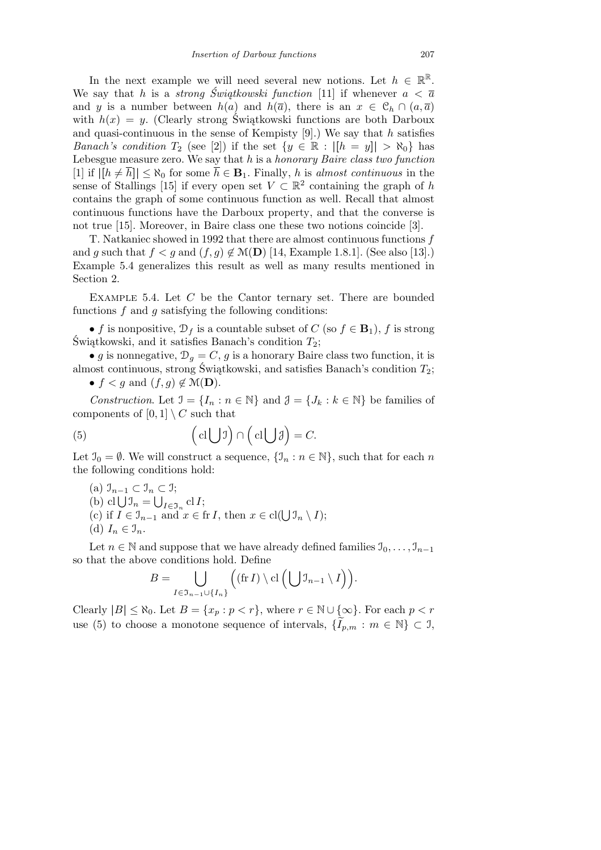In the next example we will need several new notions. Let  $h \in \mathbb{R}^{\mathbb{R}}$ . We say that *h* is a *strong Świątkowski function* [11] if whenever  $a < \overline{a}$ and *y* is a number between  $h(a)$  and  $h(\overline{a})$ , there is an  $x \in C_h \cap (a, \overline{a})$ with  $h(x) = y$ . (Clearly strong Świątkowski functions are both Darboux and quasi-continuous in the sense of Kempisty [9].) We say that *h* satisfies *Banach's condition*  $T_2$  (see [2]) if the set  $\{y \in \mathbb{R} : |[h = y]| > \aleph_0\}$  has Lebesgue measure zero. We say that *h* is a *honorary Baire class two function*  $[1]$  if  $|[h \neq \overline{h}]| \leq \aleph_0$  for some  $\overline{h} \in \mathbf{B}_1$ . Finally, h is *almost continuous* in the sense of Stallings [15] if every open set  $V \subset \mathbb{R}^2$  containing the graph of *h* contains the graph of some continuous function as well. Recall that almost continuous functions have the Darboux property, and that the converse is not true [15]. Moreover, in Baire class one these two notions coincide [3].

T. Natkaniec showed in 1992 that there are almost continuous functions *f* and *g* such that  $f < g$  and  $(f, g) \notin \mathcal{M}(\mathbf{D})$  [14, Example 1.8.1]. (See also [13].) Example 5.4 generalizes this result as well as many results mentioned in Section 2.

Example 5.4. Let *C* be the Cantor ternary set. There are bounded functions *f* and *g* satisfying the following conditions:

• *f* is nonpositive,  $\mathcal{D}_f$  is a countable subset of *C* (so  $f \in \mathbf{B}_1$ ), *f* is strong Świątkowski, and it satisfies Banach's condition *T*2;

• *g* is nonnegative,  $\mathcal{D}_g = C$ , *g* is a honorary Baire class two function, it is almost continuous, strong Świątkowski, and satisfies Banach's condition *T*2; •  $f < g$  and  $(f, g) \notin \mathcal{M}(\mathbf{D})$ .

*Construction*. Let  $\mathcal{I} = \{I_n : n \in \mathbb{N}\}\$ and  $\mathcal{J} = \{J_k : k \in \mathbb{N}\}\$ be families of components of  $[0,1] \setminus C$  such that

(5) 
$$
\left(\operatorname{cl}\bigcup\mathfrak{I}\right)\cap\left(\operatorname{cl}\bigcup\mathfrak{J}\right)=C.
$$

Let  $\mathcal{I}_0 = \emptyset$ . We will construct a sequence,  $\{\mathcal{I}_n : n \in \mathbb{N}\}$ , such that for each *n* the following conditions hold:

(a) I*n−*<sup>1</sup> *⊂* I*<sup>n</sup> ⊂* I; S (b) cl  $\bigcup_{n=1}^{\infty} \bigcup_{i \in \mathcal{I}_n} \mathcal{I}_i$  cl *I*;<br>
(c) if  $I \in \mathcal{I}_{n-1}$  and  $x \in \text{fr } I$ , then  $x \in \text{cl}(\bigcup \mathcal{I}_n \setminus I)$ ; (d)  $I_n \in \mathcal{I}_n$ .

Let  $n \in \mathbb{N}$  and suppose that we have already defined families  $\mathcal{I}_0, \ldots, \mathcal{I}_{n-1}$ so that the above conditions hold. Define  $\mathbf{r}$ 

We conditions that: Define  

$$
B = \bigcup_{I \in \mathfrak{I}_{n-1} \cup \{I_n\}} \Big( (\text{fr } I) \setminus \text{cl } \Big( \bigcup \mathfrak{I}_{n-1} \setminus I \Big) \Big).
$$

Clearly  $|B| \leq \aleph_0$ . Let  $B = \{x_p : p < r\}$ , where  $r \in \mathbb{N} \cup \{\infty\}$ . For each  $p < r$ use (5) to choose a monotone sequence of intervals,  ${I_{p,m}: m \in \mathbb{N} \subset \mathcal{I}}$ ,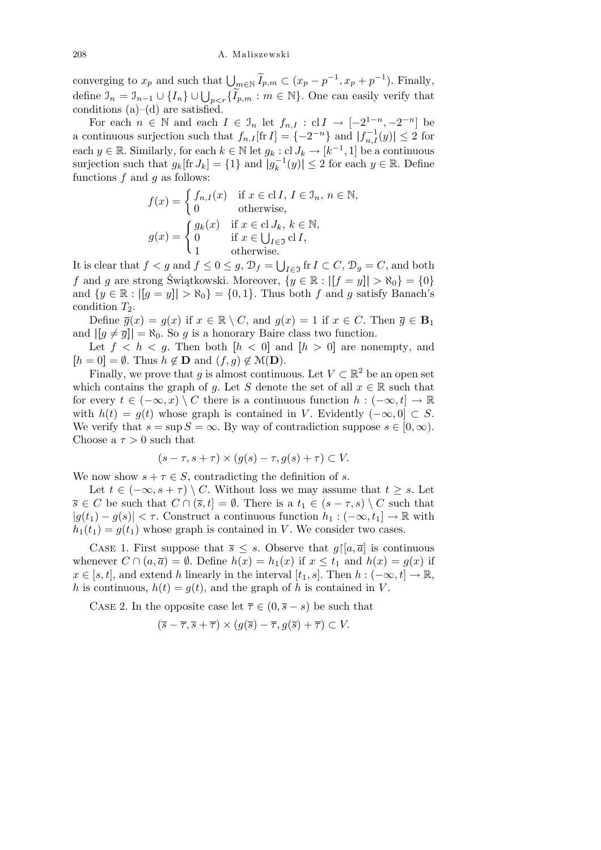converging to  $x_p$  and such that  $\bigcup_{m \in \mathbb{N}} \widetilde{I}_{p,m} \subset (x_p - p^{-1}, x_p + p^{-1})$ . Finally, define  $\mathcal{I}_n = \mathcal{I}_{n-1} \cup \{I_n\} \cup \bigcup_{p < r} \{\widetilde{I}_{p,m} : m \in \mathbb{N}\}\)$ . One can easily verify that conditions  $(a)$ – $(d)$  are satisfied.

For each  $n \in \mathbb{N}$  and each  $I \in \mathcal{I}_n$  let  $f_{n,I} : \text{cl } I \to [-2^{1-n}, -2^{-n}]$  be a continuous surjection such that  $f_{n,I}$  [fr *I*] = { $-2^{-n}$ } and  $|f_{n,I}^{-1}(y)| \le 2$  for each  $y \in \mathbb{R}$ . Similarly, for each  $k \in \mathbb{N}$  let  $g_k : cl J_k \to [k^{-1}, 1]$  be a continuous surjection such that  $g_k$ [fr  $J_k$ ] = {1} and  $|g_k^{-1}(y)| \le 2$  for each  $y \in \mathbb{R}$ . Define functions *f* and *g* as follows:

$$
f(x) = \begin{cases} f_{n,I}(x) & \text{if } x \in \text{cl } I, I \in \mathcal{I}_n, n \in \mathbb{N}, \\ 0 & \text{otherwise}, \end{cases}
$$

$$
g(x) = \begin{cases} g_k(x) & \text{if } x \in \text{cl } J_k, k \in \mathbb{N}, \\ 0 & \text{if } x \in \bigcup_{I \in \mathcal{I}} \text{cl } I, \\ 1 & \text{otherwise}. \end{cases}
$$

It is clear that  $f < g$  and  $f \leq 0 \leq g$ ,  $\mathcal{D}_f =$  $I \in \mathcal{T}$  fr  $I \subset C$ ,  $\mathcal{D}_g = C$ , and both *f* and *g* are strong Świątkowski. Moreover,  $\{y \in \mathbb{R} : |[f = y]| > \aleph_0\} = \{0\}$ and  $\{y \in \mathbb{R} : |[g = y]| > \aleph_0\} = \{0, 1\}$ . Thus both *f* and *g* satisfy Banach's condition  $T_2$ .

Define  $\overline{g}(x) = g(x)$  if  $x \in \mathbb{R} \setminus C$ , and  $g(x) = 1$  if  $x \in C$ . Then  $\overline{g} \in \mathbf{B}_1$ and  $| [g \neq \overline{g}] | = \aleph_0$ . So *g* is a honorary Baire class two function.

Let  $f < h < g$ . Then both  $[h < 0]$  and  $[h > 0]$  are nonempty, and  $[h = 0] = \emptyset$ . Thus  $h \notin \mathbf{D}$  and  $(f, g) \notin \mathcal{M}(\mathbf{D})$ .

Finally, we prove that *g* is almost continuous. Let  $V \subset \mathbb{R}^2$  be an open set which contains the graph of *g*. Let *S* denote the set of all  $x \in \mathbb{R}$  such that for every  $t \in (-\infty, x) \setminus C$  there is a continuous function  $h: (-\infty, t] \to \mathbb{R}$ with  $h(t) = g(t)$  whose graph is contained in *V*. Evidently  $(-\infty, 0] \subset S$ . We verify that  $s = \sup S = \infty$ . By way of contradiction suppose  $s \in [0, \infty)$ . Choose a  $\tau > 0$  such that

$$
(s-\tau, s+\tau) \times (g(s)-\tau, g(s)+\tau) \subset V.
$$

We now show  $s + \tau \in S$ , contradicting the definition of *s*.

Let  $t \in (-\infty, s + \tau) \setminus C$ . Without loss we may assume that  $t \geq s$ . Let *s* ∈ *C* be such that  $C \cap (\overline{s}, t] = \emptyset$ . There is a  $t_1 \in (s - \tau, s) \setminus C$  such that  $|g(t_1) - g(s)| < \tau$ . Construct a continuous function  $h_1$  : ( $-\infty, t_1$ ) → R with  $h_1(t_1) = g(t_1)$  whose graph is contained in *V*. We consider two cases.

CASE 1. First suppose that  $\overline{s} \leq s$ . Observe that  $g \upharpoonright [a, \overline{a}]$  is continuous whenever  $C \cap (a, \overline{a}) = \emptyset$ . Define  $h(x) = h_1(x)$  if  $x \le t_1$  and  $h(x) = g(x)$  if  $x \in [s, t]$ , and extend *h* linearly in the interval  $[t_1, s]$ . Then  $h : (-\infty, t] \to \mathbb{R}$ , *h* is continuous,  $h(t) = g(t)$ , and the graph of *h* is contained in *V*.

CASE 2. In the opposite case let  $\overline{\tau} \in (0, \overline{s} - s)$  be such that

$$
(\overline{s}-\overline{\tau}, \overline{s}+\overline{\tau}) \times (g(\overline{s})-\overline{\tau}, g(\overline{s})+\overline{\tau}) \subset V.
$$